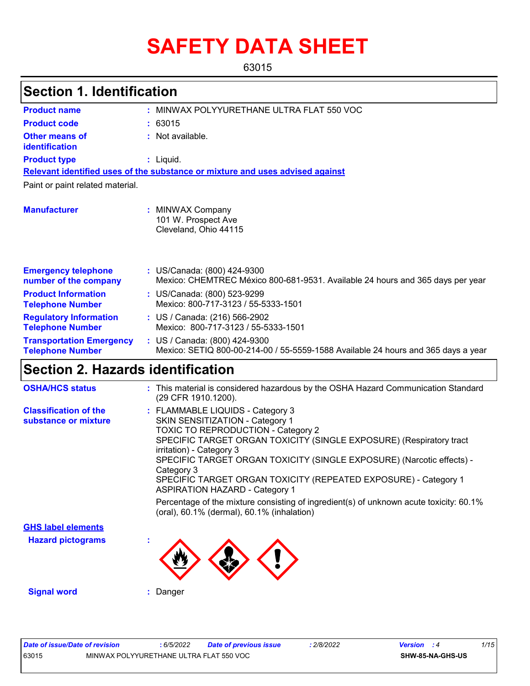# **SAFETY DATA SHEET**

63015

| <b>Section 1. Identification</b>                           |                                                                                                                    |
|------------------------------------------------------------|--------------------------------------------------------------------------------------------------------------------|
| <b>Product name</b>                                        | : MINWAX POLYYURETHANE ULTRA FLAT 550 VOC                                                                          |
| <b>Product code</b>                                        | : 63015                                                                                                            |
| <b>Other means of</b><br>identification                    | : Not available.                                                                                                   |
| <b>Product type</b>                                        | $:$ Liquid.                                                                                                        |
|                                                            | Relevant identified uses of the substance or mixture and uses advised against                                      |
| Paint or paint related material.                           |                                                                                                                    |
| <b>Manufacturer</b>                                        | : MINWAX Company<br>101 W. Prospect Ave<br>Cleveland, Ohio 44115                                                   |
| <b>Emergency telephone</b><br>number of the company        | : US/Canada: (800) 424-9300<br>Mexico: CHEMTREC México 800-681-9531. Available 24 hours and 365 days per year      |
| <b>Product Information</b><br><b>Telephone Number</b>      | : US/Canada: (800) 523-9299<br>Mexico: 800-717-3123 / 55-5333-1501                                                 |
| <b>Regulatory Information</b><br><b>Telephone Number</b>   | : US / Canada: (216) 566-2902<br>Mexico: 800-717-3123 / 55-5333-1501                                               |
| <b>Transportation Emergency</b><br><b>Telephone Number</b> | : US / Canada: (800) 424-9300<br>Mexico: SETIQ 800-00-214-00 / 55-5559-1588 Available 24 hours and 365 days a year |
| <b>Section 2. Hazards identification</b>                   |                                                                                                                    |
| <b>OSHA/HCS status</b>                                     | : This material is considered hazardous by the OSHA Hazard Communication Standard<br>(29 CFR 1910.1200).           |
| <b>Classification of the</b>                               | FLAMMABLE LIQUIDS - Category 3                                                                                     |

| Percentage of the mixture consisting of ingredient(s) of unknown acute toxicity: 60.1% |
|----------------------------------------------------------------------------------------|

**Hazard pictograms : GHS label elements**



**Signal word :** Danger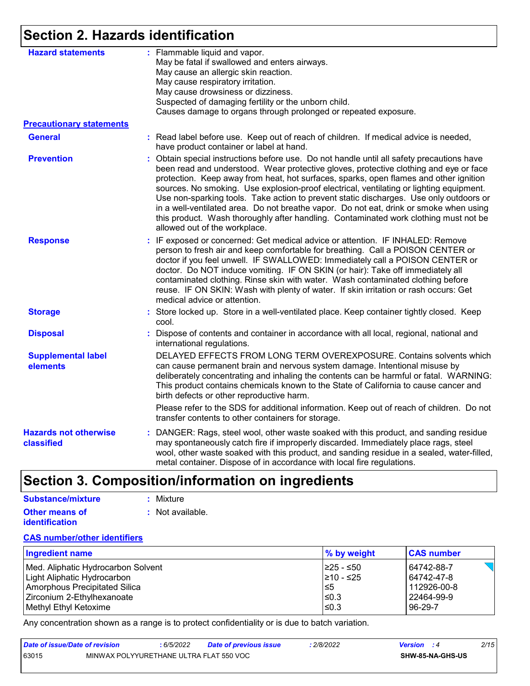# **Section 2. Hazards identification**

| <b>Hazard statements</b>                   | : Flammable liquid and vapor.<br>May be fatal if swallowed and enters airways.<br>May cause an allergic skin reaction.<br>May cause respiratory irritation.<br>May cause drowsiness or dizziness.<br>Suspected of damaging fertility or the unborn child.<br>Causes damage to organs through prolonged or repeated exposure.                                                                                                                                                                                                                                                                                                                                                        |
|--------------------------------------------|-------------------------------------------------------------------------------------------------------------------------------------------------------------------------------------------------------------------------------------------------------------------------------------------------------------------------------------------------------------------------------------------------------------------------------------------------------------------------------------------------------------------------------------------------------------------------------------------------------------------------------------------------------------------------------------|
| <b>Precautionary statements</b>            |                                                                                                                                                                                                                                                                                                                                                                                                                                                                                                                                                                                                                                                                                     |
| <b>General</b>                             | : Read label before use. Keep out of reach of children. If medical advice is needed,<br>have product container or label at hand.                                                                                                                                                                                                                                                                                                                                                                                                                                                                                                                                                    |
| <b>Prevention</b>                          | : Obtain special instructions before use. Do not handle until all safety precautions have<br>been read and understood. Wear protective gloves, protective clothing and eye or face<br>protection. Keep away from heat, hot surfaces, sparks, open flames and other ignition<br>sources. No smoking. Use explosion-proof electrical, ventilating or lighting equipment.<br>Use non-sparking tools. Take action to prevent static discharges. Use only outdoors or<br>in a well-ventilated area. Do not breathe vapor. Do not eat, drink or smoke when using<br>this product. Wash thoroughly after handling. Contaminated work clothing must not be<br>allowed out of the workplace. |
| <b>Response</b>                            | : IF exposed or concerned: Get medical advice or attention. IF INHALED: Remove<br>person to fresh air and keep comfortable for breathing. Call a POISON CENTER or<br>doctor if you feel unwell. IF SWALLOWED: Immediately call a POISON CENTER or<br>doctor. Do NOT induce vomiting. IF ON SKIN (or hair): Take off immediately all<br>contaminated clothing. Rinse skin with water. Wash contaminated clothing before<br>reuse. IF ON SKIN: Wash with plenty of water. If skin irritation or rash occurs: Get<br>medical advice or attention.                                                                                                                                      |
| <b>Storage</b>                             | : Store locked up. Store in a well-ventilated place. Keep container tightly closed. Keep<br>cool.                                                                                                                                                                                                                                                                                                                                                                                                                                                                                                                                                                                   |
| <b>Disposal</b>                            | : Dispose of contents and container in accordance with all local, regional, national and<br>international regulations.                                                                                                                                                                                                                                                                                                                                                                                                                                                                                                                                                              |
| <b>Supplemental label</b><br>elements      | DELAYED EFFECTS FROM LONG TERM OVEREXPOSURE. Contains solvents which<br>can cause permanent brain and nervous system damage. Intentional misuse by<br>deliberately concentrating and inhaling the contents can be harmful or fatal. WARNING:<br>This product contains chemicals known to the State of California to cause cancer and<br>birth defects or other reproductive harm.                                                                                                                                                                                                                                                                                                   |
|                                            | Please refer to the SDS for additional information. Keep out of reach of children. Do not<br>transfer contents to other containers for storage.                                                                                                                                                                                                                                                                                                                                                                                                                                                                                                                                     |
| <b>Hazards not otherwise</b><br>classified | : DANGER: Rags, steel wool, other waste soaked with this product, and sanding residue<br>may spontaneously catch fire if improperly discarded. Immediately place rags, steel<br>wool, other waste soaked with this product, and sanding residue in a sealed, water-filled,<br>metal container. Dispose of in accordance with local fire regulations.                                                                                                                                                                                                                                                                                                                                |

# **Section 3. Composition/information on ingredients**

| Substance/mixture     | : Mixture        |
|-----------------------|------------------|
| <b>Other means of</b> | : Not available. |
| <b>identification</b> |                  |

#### **CAS number/other identifiers**

| Ingredient name                      | $\%$ by weight | <b>CAS number</b> |
|--------------------------------------|----------------|-------------------|
| Med. Aliphatic Hydrocarbon Solvent   | I≥25 - ≤50     | 64742-88-7        |
| Light Aliphatic Hydrocarbon          | 1≥10 - ≤25     | 64742-47-8        |
| <b>Amorphous Precipitated Silica</b> | 5≥ا            | 112926-00-8       |
| Zirconium 2-Ethylhexanoate           | $\leq$ 0.3     | 22464-99-9        |
| Methyl Ethyl Ketoxime                | $\leq$ 0.3     | 96-29-7           |

Any concentration shown as a range is to protect confidentiality or is due to batch variation.

| Date of issue/Date of revision |                                         | 6/5/2022 | <b>Date of previous issue</b> | 2/8/2022 | <b>Version</b> : 4 |                  | 2/15 |
|--------------------------------|-----------------------------------------|----------|-------------------------------|----------|--------------------|------------------|------|
| 63015                          | MINWAX POLYYURETHANE ULTRA FLAT 550 VOC |          |                               |          |                    | SHW-85-NA-GHS-US |      |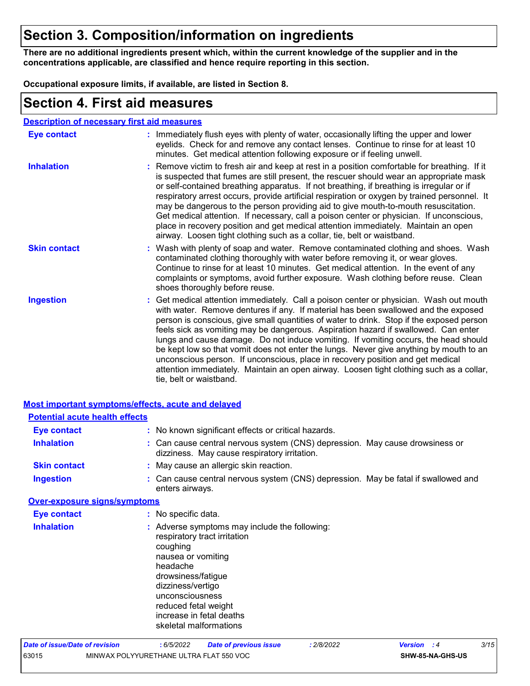### **Section 3. Composition/information on ingredients**

**There are no additional ingredients present which, within the current knowledge of the supplier and in the concentrations applicable, are classified and hence require reporting in this section.**

**Occupational exposure limits, if available, are listed in Section 8.**

### **Section 4. First aid measures**

#### **Description of necessary first aid measures**

| <b>Eye contact</b>  | : Immediately flush eyes with plenty of water, occasionally lifting the upper and lower<br>eyelids. Check for and remove any contact lenses. Continue to rinse for at least 10<br>minutes. Get medical attention following exposure or if feeling unwell.                                                                                                                                                                                                                                                                                                                                                                                                                                                                                               |
|---------------------|---------------------------------------------------------------------------------------------------------------------------------------------------------------------------------------------------------------------------------------------------------------------------------------------------------------------------------------------------------------------------------------------------------------------------------------------------------------------------------------------------------------------------------------------------------------------------------------------------------------------------------------------------------------------------------------------------------------------------------------------------------|
| <b>Inhalation</b>   | : Remove victim to fresh air and keep at rest in a position comfortable for breathing. If it<br>is suspected that fumes are still present, the rescuer should wear an appropriate mask<br>or self-contained breathing apparatus. If not breathing, if breathing is irregular or if<br>respiratory arrest occurs, provide artificial respiration or oxygen by trained personnel. It<br>may be dangerous to the person providing aid to give mouth-to-mouth resuscitation.<br>Get medical attention. If necessary, call a poison center or physician. If unconscious,<br>place in recovery position and get medical attention immediately. Maintain an open<br>airway. Loosen tight clothing such as a collar, tie, belt or waistband.                    |
| <b>Skin contact</b> | : Wash with plenty of soap and water. Remove contaminated clothing and shoes. Wash<br>contaminated clothing thoroughly with water before removing it, or wear gloves.<br>Continue to rinse for at least 10 minutes. Get medical attention. In the event of any<br>complaints or symptoms, avoid further exposure. Wash clothing before reuse. Clean<br>shoes thoroughly before reuse.                                                                                                                                                                                                                                                                                                                                                                   |
| <b>Ingestion</b>    | : Get medical attention immediately. Call a poison center or physician. Wash out mouth<br>with water. Remove dentures if any. If material has been swallowed and the exposed<br>person is conscious, give small quantities of water to drink. Stop if the exposed person<br>feels sick as vomiting may be dangerous. Aspiration hazard if swallowed. Can enter<br>lungs and cause damage. Do not induce vomiting. If vomiting occurs, the head should<br>be kept low so that vomit does not enter the lungs. Never give anything by mouth to an<br>unconscious person. If unconscious, place in recovery position and get medical<br>attention immediately. Maintain an open airway. Loosen tight clothing such as a collar,<br>tie, belt or waistband. |

|                                       | <b>Most important symptoms/effects, acute and delayed</b>                                                                                                                                                                                                               |
|---------------------------------------|-------------------------------------------------------------------------------------------------------------------------------------------------------------------------------------------------------------------------------------------------------------------------|
| <b>Potential acute health effects</b> |                                                                                                                                                                                                                                                                         |
| <b>Eye contact</b>                    | : No known significant effects or critical hazards.                                                                                                                                                                                                                     |
| <b>Inhalation</b>                     | : Can cause central nervous system (CNS) depression. May cause drowsiness or<br>dizziness. May cause respiratory irritation.                                                                                                                                            |
| <b>Skin contact</b>                   | : May cause an allergic skin reaction.                                                                                                                                                                                                                                  |
| <b>Ingestion</b>                      | : Can cause central nervous system (CNS) depression. May be fatal if swallowed and<br>enters airways.                                                                                                                                                                   |
| <b>Over-exposure signs/symptoms</b>   |                                                                                                                                                                                                                                                                         |
| <b>Eye contact</b>                    | : No specific data.                                                                                                                                                                                                                                                     |
| <b>Inhalation</b>                     | : Adverse symptoms may include the following:<br>respiratory tract irritation<br>coughing<br>nausea or vomiting<br>headache<br>drowsiness/fatigue<br>dizziness/vertigo<br>unconsciousness<br>reduced fetal weight<br>increase in fetal deaths<br>skeletal malformations |
| Date of issue/Date of revision        | 3/15<br>: 2/8/2022<br>: 6/5/2022<br><b>Date of previous issue</b><br><b>Version</b> : 4                                                                                                                                                                                 |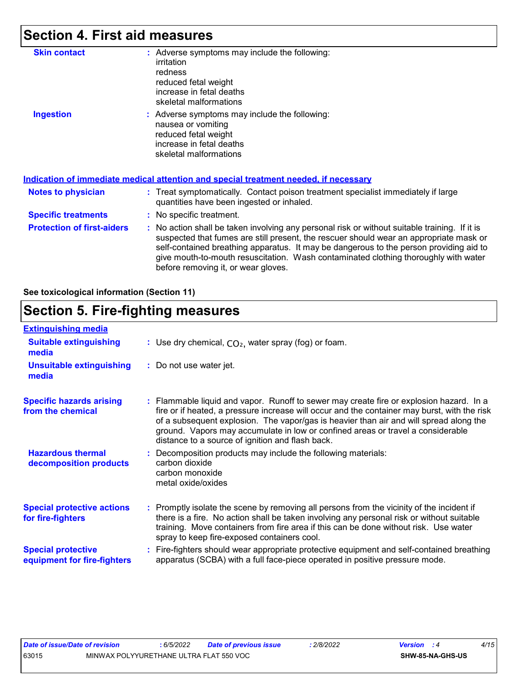### **Section 4. First aid measures**

| <b>Skin contact</b>               | : Adverse symptoms may include the following:<br>irritation<br>redness<br>reduced fetal weight<br>increase in fetal deaths<br>skeletal malformations                                                                                                                                                                                                                                                            |
|-----------------------------------|-----------------------------------------------------------------------------------------------------------------------------------------------------------------------------------------------------------------------------------------------------------------------------------------------------------------------------------------------------------------------------------------------------------------|
| <b>Ingestion</b>                  | : Adverse symptoms may include the following:<br>nausea or vomiting<br>reduced fetal weight<br>increase in fetal deaths<br>skeletal malformations<br><u>Indication of immediate medical attention and special treatment needed, if necessary</u>                                                                                                                                                                |
|                                   |                                                                                                                                                                                                                                                                                                                                                                                                                 |
| Notes to physician                | : Treat symptomatically. Contact poison treatment specialist immediately if large<br>quantities have been ingested or inhaled.                                                                                                                                                                                                                                                                                  |
| <b>Specific treatments</b>        | : No specific treatment.                                                                                                                                                                                                                                                                                                                                                                                        |
| <b>Protection of first-aiders</b> | : No action shall be taken involving any personal risk or without suitable training. If it is<br>suspected that fumes are still present, the rescuer should wear an appropriate mask or<br>self-contained breathing apparatus. It may be dangerous to the person providing aid to<br>give mouth-to-mouth resuscitation. Wash contaminated clothing thoroughly with water<br>before removing it, or wear gloves. |

**See toxicological information (Section 11)**

### **Section 5. Fire-fighting measures**

| <b>Extinguishing media</b>                               |                                                                                                                                                                                                                                                                                                                                                                                                                          |
|----------------------------------------------------------|--------------------------------------------------------------------------------------------------------------------------------------------------------------------------------------------------------------------------------------------------------------------------------------------------------------------------------------------------------------------------------------------------------------------------|
| <b>Suitable extinguishing</b><br>media                   | : Use dry chemical, $CO2$ , water spray (fog) or foam.                                                                                                                                                                                                                                                                                                                                                                   |
| <b>Unsuitable extinguishing</b><br>media                 | : Do not use water jet.                                                                                                                                                                                                                                                                                                                                                                                                  |
| <b>Specific hazards arising</b><br>from the chemical     | : Flammable liquid and vapor. Runoff to sewer may create fire or explosion hazard. In a<br>fire or if heated, a pressure increase will occur and the container may burst, with the risk<br>of a subsequent explosion. The vapor/gas is heavier than air and will spread along the<br>ground. Vapors may accumulate in low or confined areas or travel a considerable<br>distance to a source of ignition and flash back. |
| <b>Hazardous thermal</b><br>decomposition products       | Decomposition products may include the following materials:<br>carbon dioxide<br>carbon monoxide<br>metal oxide/oxides                                                                                                                                                                                                                                                                                                   |
| <b>Special protective actions</b><br>for fire-fighters   | : Promptly isolate the scene by removing all persons from the vicinity of the incident if<br>there is a fire. No action shall be taken involving any personal risk or without suitable<br>training. Move containers from fire area if this can be done without risk. Use water<br>spray to keep fire-exposed containers cool.                                                                                            |
| <b>Special protective</b><br>equipment for fire-fighters | Fire-fighters should wear appropriate protective equipment and self-contained breathing<br>apparatus (SCBA) with a full face-piece operated in positive pressure mode.                                                                                                                                                                                                                                                   |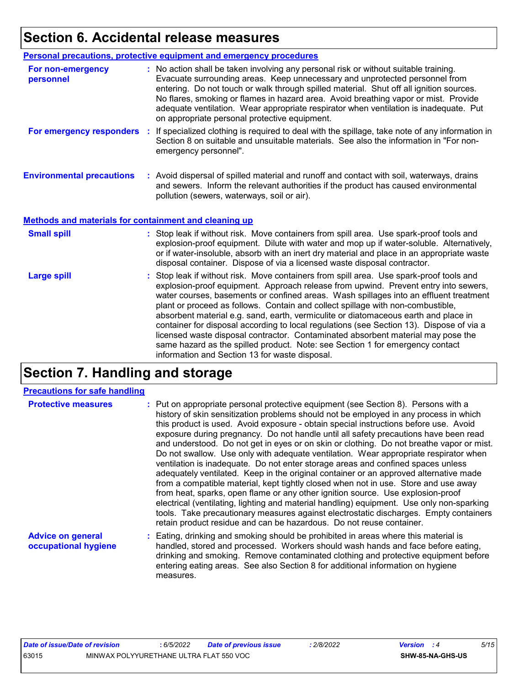### **Section 6. Accidental release measures**

| <b>Personal precautions, protective equipment and emergency procedures</b>                                                                                                                                                                                                                                                                                                                                                                                                                                                                                                                                                                                                                                         |
|--------------------------------------------------------------------------------------------------------------------------------------------------------------------------------------------------------------------------------------------------------------------------------------------------------------------------------------------------------------------------------------------------------------------------------------------------------------------------------------------------------------------------------------------------------------------------------------------------------------------------------------------------------------------------------------------------------------------|
| : No action shall be taken involving any personal risk or without suitable training.<br>Evacuate surrounding areas. Keep unnecessary and unprotected personnel from<br>entering. Do not touch or walk through spilled material. Shut off all ignition sources.<br>No flares, smoking or flames in hazard area. Avoid breathing vapor or mist. Provide<br>adequate ventilation. Wear appropriate respirator when ventilation is inadequate. Put<br>on appropriate personal protective equipment.                                                                                                                                                                                                                    |
| For emergency responders : If specialized clothing is required to deal with the spillage, take note of any information in<br>Section 8 on suitable and unsuitable materials. See also the information in "For non-<br>emergency personnel".                                                                                                                                                                                                                                                                                                                                                                                                                                                                        |
| : Avoid dispersal of spilled material and runoff and contact with soil, waterways, drains<br>and sewers. Inform the relevant authorities if the product has caused environmental<br>pollution (sewers, waterways, soil or air).                                                                                                                                                                                                                                                                                                                                                                                                                                                                                    |
| Methods and materials for containment and cleaning up                                                                                                                                                                                                                                                                                                                                                                                                                                                                                                                                                                                                                                                              |
| : Stop leak if without risk. Move containers from spill area. Use spark-proof tools and<br>explosion-proof equipment. Dilute with water and mop up if water-soluble. Alternatively,<br>or if water-insoluble, absorb with an inert dry material and place in an appropriate waste<br>disposal container. Dispose of via a licensed waste disposal contractor.                                                                                                                                                                                                                                                                                                                                                      |
| : Stop leak if without risk. Move containers from spill area. Use spark-proof tools and<br>explosion-proof equipment. Approach release from upwind. Prevent entry into sewers,<br>water courses, basements or confined areas. Wash spillages into an effluent treatment<br>plant or proceed as follows. Contain and collect spillage with non-combustible,<br>absorbent material e.g. sand, earth, vermiculite or diatomaceous earth and place in<br>container for disposal according to local regulations (see Section 13). Dispose of via a<br>licensed waste disposal contractor. Contaminated absorbent material may pose the<br>same hazard as the spilled product. Note: see Section 1 for emergency contact |
|                                                                                                                                                                                                                                                                                                                                                                                                                                                                                                                                                                                                                                                                                                                    |

## **Section 7. Handling and storage**

#### **Precautions for safe handling**

| <b>Protective measures</b>                       | : Put on appropriate personal protective equipment (see Section 8). Persons with a<br>history of skin sensitization problems should not be employed in any process in which<br>this product is used. Avoid exposure - obtain special instructions before use. Avoid<br>exposure during pregnancy. Do not handle until all safety precautions have been read<br>and understood. Do not get in eyes or on skin or clothing. Do not breathe vapor or mist.<br>Do not swallow. Use only with adequate ventilation. Wear appropriate respirator when<br>ventilation is inadequate. Do not enter storage areas and confined spaces unless<br>adequately ventilated. Keep in the original container or an approved alternative made<br>from a compatible material, kept tightly closed when not in use. Store and use away<br>from heat, sparks, open flame or any other ignition source. Use explosion-proof<br>electrical (ventilating, lighting and material handling) equipment. Use only non-sparking<br>tools. Take precautionary measures against electrostatic discharges. Empty containers<br>retain product residue and can be hazardous. Do not reuse container. |
|--------------------------------------------------|----------------------------------------------------------------------------------------------------------------------------------------------------------------------------------------------------------------------------------------------------------------------------------------------------------------------------------------------------------------------------------------------------------------------------------------------------------------------------------------------------------------------------------------------------------------------------------------------------------------------------------------------------------------------------------------------------------------------------------------------------------------------------------------------------------------------------------------------------------------------------------------------------------------------------------------------------------------------------------------------------------------------------------------------------------------------------------------------------------------------------------------------------------------------|
| <b>Advice on general</b><br>occupational hygiene | : Eating, drinking and smoking should be prohibited in areas where this material is<br>handled, stored and processed. Workers should wash hands and face before eating,<br>drinking and smoking. Remove contaminated clothing and protective equipment before                                                                                                                                                                                                                                                                                                                                                                                                                                                                                                                                                                                                                                                                                                                                                                                                                                                                                                        |

measures.

entering eating areas. See also Section 8 for additional information on hygiene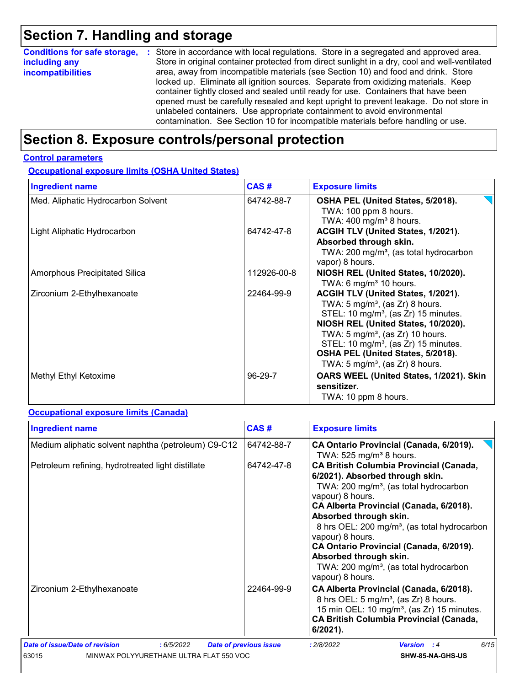# **Section 7. Handling and storage**

| <b>Conditions for safe storage,</b> | : Store in accordance with local regulations. Store in a segregated and approved area.        |
|-------------------------------------|-----------------------------------------------------------------------------------------------|
| including any                       | Store in original container protected from direct sunlight in a dry, cool and well-ventilated |
| <b>incompatibilities</b>            | area, away from incompatible materials (see Section 10) and food and drink. Store             |
|                                     | locked up. Eliminate all ignition sources. Separate from oxidizing materials. Keep            |
|                                     | container tightly closed and sealed until ready for use. Containers that have been            |
|                                     | opened must be carefully resealed and kept upright to prevent leakage. Do not store in        |
|                                     | unlabeled containers. Use appropriate containment to avoid environmental                      |
|                                     | contamination. See Section 10 for incompatible materials before handling or use.              |

# **Section 8. Exposure controls/personal protection**

#### **Control parameters**

**Occupational exposure limits (OSHA United States)**

| <b>Ingredient name</b>               | CAS#        | <b>Exposure limits</b>                                                                                                                                                                                                                                                                                                                                              |
|--------------------------------------|-------------|---------------------------------------------------------------------------------------------------------------------------------------------------------------------------------------------------------------------------------------------------------------------------------------------------------------------------------------------------------------------|
| Med. Aliphatic Hydrocarbon Solvent   | 64742-88-7  | OSHA PEL (United States, 5/2018).<br>TWA: 100 ppm 8 hours.<br>TWA: 400 mg/m <sup>3</sup> 8 hours.                                                                                                                                                                                                                                                                   |
| Light Aliphatic Hydrocarbon          | 64742-47-8  | ACGIH TLV (United States, 1/2021).<br>Absorbed through skin.<br>TWA: 200 mg/m <sup>3</sup> , (as total hydrocarbon<br>vapor) 8 hours.                                                                                                                                                                                                                               |
| <b>Amorphous Precipitated Silica</b> | 112926-00-8 | NIOSH REL (United States, 10/2020).<br>TWA: 6 mg/m <sup>3</sup> 10 hours.                                                                                                                                                                                                                                                                                           |
| Zirconium 2-Ethylhexanoate           | 22464-99-9  | ACGIH TLV (United States, 1/2021).<br>TWA: $5 \text{ mg/m}^3$ , (as Zr) 8 hours.<br>STEL: 10 mg/m <sup>3</sup> , (as Zr) 15 minutes.<br>NIOSH REL (United States, 10/2020).<br>TWA: 5 mg/m <sup>3</sup> , (as Zr) 10 hours.<br>STEL: 10 mg/m <sup>3</sup> , (as Zr) 15 minutes.<br>OSHA PEL (United States, 5/2018).<br>TWA: 5 mg/m <sup>3</sup> , (as Zr) 8 hours. |
| Methyl Ethyl Ketoxime                | 96-29-7     | OARS WEEL (United States, 1/2021). Skin<br>sensitizer.<br>TWA: 10 ppm 8 hours.                                                                                                                                                                                                                                                                                      |

#### **Occupational exposure limits (Canada)**

| <b>Ingredient name</b>                                                                           | CAS#                          | <b>Exposure limits</b>                                                                                                                                                                                                                                                                                                                                                                                                                                          |
|--------------------------------------------------------------------------------------------------|-------------------------------|-----------------------------------------------------------------------------------------------------------------------------------------------------------------------------------------------------------------------------------------------------------------------------------------------------------------------------------------------------------------------------------------------------------------------------------------------------------------|
| Medium aliphatic solvent naphtha (petroleum) C9-C12                                              | 64742-88-7                    | CA Ontario Provincial (Canada, 6/2019).<br>TWA: $525$ mg/m <sup>3</sup> 8 hours.                                                                                                                                                                                                                                                                                                                                                                                |
| Petroleum refining, hydrotreated light distillate                                                | 64742-47-8                    | <b>CA British Columbia Provincial (Canada,</b><br>6/2021). Absorbed through skin.<br>TWA: 200 mg/m <sup>3</sup> , (as total hydrocarbon<br>vapour) 8 hours.<br>CA Alberta Provincial (Canada, 6/2018).<br>Absorbed through skin.<br>8 hrs OEL: 200 mg/m <sup>3</sup> , (as total hydrocarbon<br>vapour) 8 hours.<br>CA Ontario Provincial (Canada, 6/2019).<br>Absorbed through skin.<br>TWA: 200 mg/m <sup>3</sup> , (as total hydrocarbon<br>vapour) 8 hours. |
| Zirconium 2-Ethylhexanoate                                                                       | 22464-99-9                    | CA Alberta Provincial (Canada, 6/2018).<br>8 hrs OEL: 5 mg/m <sup>3</sup> , (as Zr) 8 hours.<br>15 min OEL: 10 mg/m <sup>3</sup> , (as Zr) 15 minutes.<br><b>CA British Columbia Provincial (Canada,</b><br>$6/2021$ ).                                                                                                                                                                                                                                         |
| Date of issue/Date of revision<br>: 6/5/2022<br>63015<br>MINWAX POLYYURETHANE ULTRA FLAT 550 VOC | <b>Date of previous issue</b> | 6/15<br>: 2/8/2022<br><b>Version</b> : 4<br>SHW-85-NA-GHS-US                                                                                                                                                                                                                                                                                                                                                                                                    |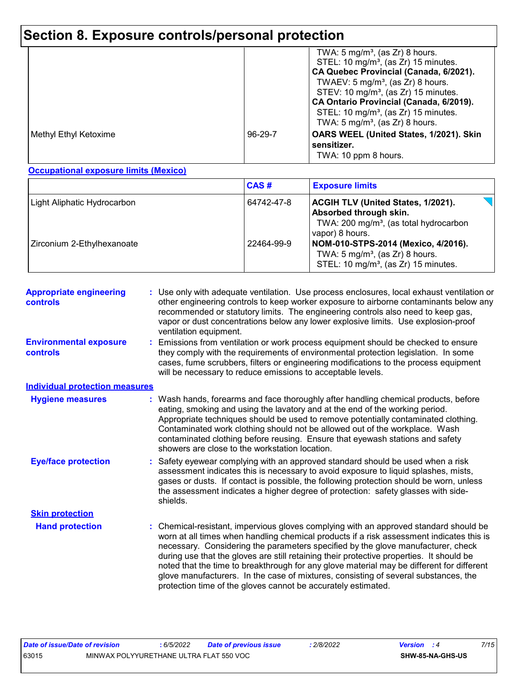# **Section 8. Exposure controls/personal protection**

|                       |         | TWA: $5 \text{ mg/m}^3$ , (as Zr) 8 hours.<br>STEL: 10 mg/m <sup>3</sup> , (as Zr) 15 minutes.<br>CA Quebec Provincial (Canada, 6/2021).<br>TWAEV: $5 \text{ mg/m}^3$ , (as Zr) 8 hours.<br>STEV: 10 mg/m <sup>3</sup> , (as Zr) 15 minutes.<br>CA Ontario Provincial (Canada, 6/2019).<br>STEL: 10 mg/m <sup>3</sup> , (as Zr) 15 minutes.<br>TWA: $5 \text{ mg/m}^3$ , (as Zr) 8 hours. |
|-----------------------|---------|-------------------------------------------------------------------------------------------------------------------------------------------------------------------------------------------------------------------------------------------------------------------------------------------------------------------------------------------------------------------------------------------|
| Methyl Ethyl Ketoxime | 96-29-7 | OARS WEEL (United States, 1/2021). Skin<br>sensitizer.<br>TWA: 10 ppm 8 hours.                                                                                                                                                                                                                                                                                                            |

**Occupational exposure limits (Mexico)**

|                             | CAS#       | <b>Exposure limits</b>                                                                                                                       |
|-----------------------------|------------|----------------------------------------------------------------------------------------------------------------------------------------------|
| Light Aliphatic Hydrocarbon | 64742-47-8 | <b>ACGIH TLV (United States, 1/2021).</b><br>Absorbed through skin.<br>TWA: 200 mg/m <sup>3</sup> , (as total hydrocarbon<br>vapor) 8 hours. |
| Zirconium 2-Ethylhexanoate  | 22464-99-9 | NOM-010-STPS-2014 (Mexico, 4/2016).<br>TWA: $5 \text{ mg/m}^3$ , (as Zr) 8 hours.<br>STEL: 10 mg/m <sup>3</sup> , (as Zr) 15 minutes.        |

| <b>Appropriate engineering</b><br><b>controls</b> | : Use only with adequate ventilation. Use process enclosures, local exhaust ventilation or<br>other engineering controls to keep worker exposure to airborne contaminants below any<br>recommended or statutory limits. The engineering controls also need to keep gas,<br>vapor or dust concentrations below any lower explosive limits. Use explosion-proof<br>ventilation equipment.                                                                                                                                                                                                                              |
|---------------------------------------------------|----------------------------------------------------------------------------------------------------------------------------------------------------------------------------------------------------------------------------------------------------------------------------------------------------------------------------------------------------------------------------------------------------------------------------------------------------------------------------------------------------------------------------------------------------------------------------------------------------------------------|
| <b>Environmental exposure</b><br>controls         | Emissions from ventilation or work process equipment should be checked to ensure<br>they comply with the requirements of environmental protection legislation. In some<br>cases, fume scrubbers, filters or engineering modifications to the process equipment<br>will be necessary to reduce emissions to acceptable levels.                                                                                                                                                                                                                                                                                        |
| <b>Individual protection measures</b>             |                                                                                                                                                                                                                                                                                                                                                                                                                                                                                                                                                                                                                      |
| <b>Hygiene measures</b>                           | Wash hands, forearms and face thoroughly after handling chemical products, before<br>eating, smoking and using the lavatory and at the end of the working period.<br>Appropriate techniques should be used to remove potentially contaminated clothing.<br>Contaminated work clothing should not be allowed out of the workplace. Wash<br>contaminated clothing before reusing. Ensure that eyewash stations and safety<br>showers are close to the workstation location.                                                                                                                                            |
| <b>Eye/face protection</b>                        | Safety eyewear complying with an approved standard should be used when a risk<br>assessment indicates this is necessary to avoid exposure to liquid splashes, mists,<br>gases or dusts. If contact is possible, the following protection should be worn, unless<br>the assessment indicates a higher degree of protection: safety glasses with side-<br>shields.                                                                                                                                                                                                                                                     |
| <b>Skin protection</b>                            |                                                                                                                                                                                                                                                                                                                                                                                                                                                                                                                                                                                                                      |
| <b>Hand protection</b>                            | Chemical-resistant, impervious gloves complying with an approved standard should be<br>worn at all times when handling chemical products if a risk assessment indicates this is<br>necessary. Considering the parameters specified by the glove manufacturer, check<br>during use that the gloves are still retaining their protective properties. It should be<br>noted that the time to breakthrough for any glove material may be different for different<br>glove manufacturers. In the case of mixtures, consisting of several substances, the<br>protection time of the gloves cannot be accurately estimated. |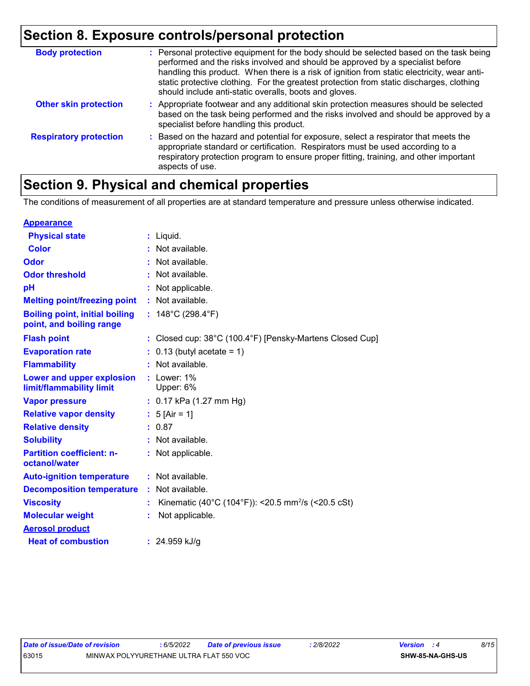### **Section 8. Exposure controls/personal protection**

| <b>Body protection</b>        | : Personal protective equipment for the body should be selected based on the task being<br>performed and the risks involved and should be approved by a specialist before<br>handling this product. When there is a risk of ignition from static electricity, wear anti-<br>static protective clothing. For the greatest protection from static discharges, clothing<br>should include anti-static overalls, boots and gloves. |
|-------------------------------|--------------------------------------------------------------------------------------------------------------------------------------------------------------------------------------------------------------------------------------------------------------------------------------------------------------------------------------------------------------------------------------------------------------------------------|
| <b>Other skin protection</b>  | : Appropriate footwear and any additional skin protection measures should be selected<br>based on the task being performed and the risks involved and should be approved by a<br>specialist before handling this product.                                                                                                                                                                                                      |
| <b>Respiratory protection</b> | : Based on the hazard and potential for exposure, select a respirator that meets the<br>appropriate standard or certification. Respirators must be used according to a<br>respiratory protection program to ensure proper fitting, training, and other important<br>aspects of use.                                                                                                                                            |

# **Section 9. Physical and chemical properties**

The conditions of measurement of all properties are at standard temperature and pressure unless otherwise indicated.

| <b>Appearance</b>                                                 |                                                                |
|-------------------------------------------------------------------|----------------------------------------------------------------|
| <b>Physical state</b>                                             | $:$ Liquid.                                                    |
| <b>Color</b>                                                      | Not available.                                                 |
| Odor                                                              | : Not available.                                               |
| <b>Odor threshold</b>                                             | Not available.                                                 |
| рH                                                                | Not applicable.                                                |
| <b>Melting point/freezing point</b>                               | : Not available.                                               |
| <b>Boiling point, initial boiling</b><br>point, and boiling range | : $148^{\circ}$ C (298.4 $^{\circ}$ F)                         |
| <b>Flash point</b>                                                | : Closed cup: 38°C (100.4°F) [Pensky-Martens Closed Cup]       |
| <b>Evaporation rate</b>                                           | $0.13$ (butyl acetate = 1)                                     |
| <b>Flammability</b>                                               | Not available.                                                 |
| Lower and upper explosion<br>limit/flammability limit             | $:$ Lower: 1%<br>Upper: 6%                                     |
| <b>Vapor pressure</b>                                             | $: 0.17$ kPa (1.27 mm Hg)                                      |
| <b>Relative vapor density</b>                                     | : $5$ [Air = 1]                                                |
| <b>Relative density</b>                                           | : 0.87                                                         |
| <b>Solubility</b>                                                 | Not available.                                                 |
| <b>Partition coefficient: n-</b><br>octanol/water                 | : Not applicable.                                              |
| <b>Auto-ignition temperature</b>                                  | : Not available.                                               |
| <b>Decomposition temperature</b>                                  | : Not available.                                               |
| <b>Viscosity</b>                                                  | Kinematic (40°C (104°F)): <20.5 mm <sup>2</sup> /s (<20.5 cSt) |
| <b>Molecular weight</b>                                           | Not applicable.                                                |
| <b>Aerosol product</b>                                            |                                                                |
| <b>Heat of combustion</b>                                         | : $24.959$ kJ/g                                                |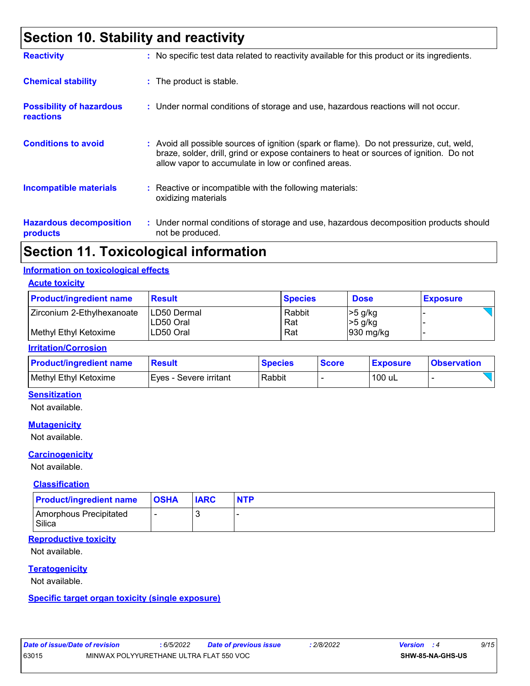### **Section 10. Stability and reactivity**

| <b>Reactivity</b>                                   | : No specific test data related to reactivity available for this product or its ingredients.                                                                                                                                             |
|-----------------------------------------------------|------------------------------------------------------------------------------------------------------------------------------------------------------------------------------------------------------------------------------------------|
| <b>Chemical stability</b>                           | : The product is stable.                                                                                                                                                                                                                 |
| <b>Possibility of hazardous</b><br><b>reactions</b> | : Under normal conditions of storage and use, hazardous reactions will not occur.                                                                                                                                                        |
| <b>Conditions to avoid</b>                          | Avoid all possible sources of ignition (spark or flame). Do not pressurize, cut, weld,<br>braze, solder, drill, grind or expose containers to heat or sources of ignition. Do not<br>allow vapor to accumulate in low or confined areas. |
| <b>Incompatible materials</b>                       | $\therefore$ Reactive or incompatible with the following materials:<br>oxidizing materials                                                                                                                                               |
| <b>Hazardous decomposition</b><br>products          | : Under normal conditions of storage and use, hazardous decomposition products should<br>not be produced.                                                                                                                                |

### **Section 11. Toxicological information**

#### **Information on toxicological effects**

**Acute toxicity**

| <b>Product/ingredient name</b>                      | <b>Result</b>                                   | <b>Species</b>       | <b>Dose</b>                               | <b>Exposure</b> |
|-----------------------------------------------------|-------------------------------------------------|----------------------|-------------------------------------------|-----------------|
| Zirconium 2-Ethylhexanoate<br>Methyl Ethyl Ketoxime | <b>ILD50 Dermal</b><br>ILD50 Oral<br>ILD50 Oral | Rabbit<br>Rat<br>Rat | $>5$ g/kg<br>$\geq 5$ g/kg<br>$930$ mg/kg |                 |

#### **Irritation/Corrosion**

| <b>Product/ingredient name</b> | <b>Result</b>           | <b>Species</b> | <b>Score</b> | <b>Exposure</b> | <b>Observation</b> |
|--------------------------------|-------------------------|----------------|--------------|-----------------|--------------------|
| Methyl Ethyl Ketoxime          | IEves - Severe irritant | Rabbit         |              | 100 uL          |                    |

#### **Sensitization**

Not available.

#### **Mutagenicity**

Not available.

#### **Carcinogenicity**

Not available.

#### **Classification**

| <b>Product/ingredient name</b>   | <b>OSHA</b> | <b>IARC</b> | <b>NTP</b> |
|----------------------------------|-------------|-------------|------------|
| Amorphous Precipitated<br>Silica |             |             |            |

#### **Reproductive toxicity**

Not available.

#### **Teratogenicity**

Not available.

#### **Specific target organ toxicity (single exposure)**

| Date of issue/Date of revision |                                         | 6/5/2022 | <b>Date of previous issue</b> | 2/8/2022 | <b>Version</b> : 4 |                         | 9/15 |  |
|--------------------------------|-----------------------------------------|----------|-------------------------------|----------|--------------------|-------------------------|------|--|
| 63015                          | MINWAX POLYYURETHANE ULTRA FLAT 550 VOC |          |                               |          |                    | <b>SHW-85-NA-GHS-US</b> |      |  |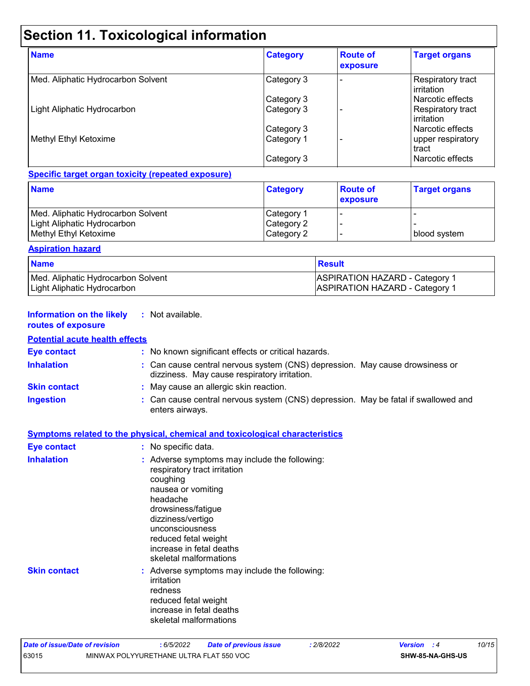# **Section 11. Toxicological information**

| <b>Name</b>                        | <b>Category</b> | <b>Route of</b><br>exposure | <b>Target organs</b>                          |
|------------------------------------|-----------------|-----------------------------|-----------------------------------------------|
| Med. Aliphatic Hydrocarbon Solvent | Category 3      |                             | Respiratory tract<br><b>l</b> irritation      |
|                                    | Category 3      |                             | l Narcotic effects                            |
| Light Aliphatic Hydrocarbon        | Category 3      |                             | <b>Respiratory tract</b><br><b>irritation</b> |
|                                    | Category 3      |                             | l Narcotic effects                            |
| Methyl Ethyl Ketoxime              | Category 1      |                             | upper respiratory<br>l tract                  |
|                                    | Category 3      |                             | l Narcotic effects                            |

#### **Specific target organ toxicity (repeated exposure)**

| <b>Name</b>                        | <b>Category</b> | <b>Route of</b><br>exposure | <b>Target organs</b> |
|------------------------------------|-----------------|-----------------------------|----------------------|
| Med. Aliphatic Hydrocarbon Solvent | Category 1      |                             |                      |
| Light Aliphatic Hydrocarbon_       | Category 2      |                             |                      |
| Methyl Ethyl Ketoxime              | Category 2      |                             | I blood svstem       |

#### **Aspiration hazard**

| <b>Name</b>                        | ⊺Result                               |
|------------------------------------|---------------------------------------|
| Med. Aliphatic Hydrocarbon Solvent | <b>ASPIRATION HAZARD - Category 1</b> |
| Light Aliphatic Hydrocarbon        | <b>ASPIRATION HAZARD - Category 1</b> |

#### **Information on the likely routes of exposure :** Not available.

#### **Potential acute health effects**

| <b>Eye contact</b>  | : No known significant effects or critical hazards.                                                                                                                                                                                                                     |
|---------------------|-------------------------------------------------------------------------------------------------------------------------------------------------------------------------------------------------------------------------------------------------------------------------|
| <b>Inhalation</b>   | : Can cause central nervous system (CNS) depression. May cause drowsiness or<br>dizziness. May cause respiratory irritation.                                                                                                                                            |
| <b>Skin contact</b> | : May cause an allergic skin reaction.                                                                                                                                                                                                                                  |
| <b>Ingestion</b>    | : Can cause central nervous system (CNS) depression. May be fatal if swallowed and<br>enters airways.                                                                                                                                                                   |
|                     | <b>Symptoms related to the physical, chemical and toxicological characteristics</b>                                                                                                                                                                                     |
| <b>Eye contact</b>  | : No specific data.                                                                                                                                                                                                                                                     |
| <b>Inhalation</b>   | : Adverse symptoms may include the following:<br>respiratory tract irritation<br>coughing<br>nausea or vomiting<br>headache<br>drowsiness/fatigue<br>dizziness/vertigo<br>unconsciousness<br>reduced fetal weight<br>increase in fetal deaths<br>skeletal malformations |
| <b>Skin contact</b> | : Adverse symptoms may include the following:<br>irritation<br>redness<br>reduced fetal weight<br>increase in fetal deaths<br>skeletal malformations                                                                                                                    |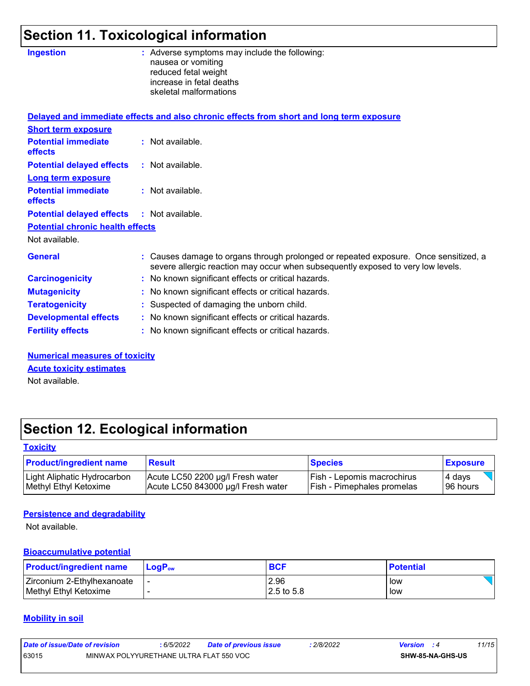# **Section 11. Toxicological information**

| <b>Ingestion</b>                             | : Adverse symptoms may include the following:<br>nausea or vomiting<br>reduced fetal weight<br>increase in fetal deaths<br>skeletal malformations                        |
|----------------------------------------------|--------------------------------------------------------------------------------------------------------------------------------------------------------------------------|
|                                              | Delayed and immediate effects and also chronic effects from short and long term exposure                                                                                 |
| <b>Short term exposure</b>                   |                                                                                                                                                                          |
| <b>Potential immediate</b><br><b>effects</b> | : Not available.                                                                                                                                                         |
| <b>Potential delayed effects</b>             | : Not available.                                                                                                                                                         |
| <b>Long term exposure</b>                    |                                                                                                                                                                          |
| <b>Potential immediate</b><br><b>effects</b> | $:$ Not available.                                                                                                                                                       |
| <b>Potential delayed effects</b>             | $:$ Not available.                                                                                                                                                       |
| <b>Potential chronic health effects</b>      |                                                                                                                                                                          |
| Not available.                               |                                                                                                                                                                          |
| <b>General</b>                               | : Causes damage to organs through prolonged or repeated exposure. Once sensitized, a<br>severe allergic reaction may occur when subsequently exposed to very low levels. |
| <b>Carcinogenicity</b>                       | : No known significant effects or critical hazards.                                                                                                                      |
| <b>Mutagenicity</b>                          | : No known significant effects or critical hazards.                                                                                                                      |
| <b>Teratogenicity</b>                        | : Suspected of damaging the unborn child.                                                                                                                                |
| <b>Developmental effects</b>                 | : No known significant effects or critical hazards.                                                                                                                      |
| <b>Fertility effects</b>                     | : No known significant effects or critical hazards.                                                                                                                      |
|                                              |                                                                                                                                                                          |

**Numerical measures of toxicity Acute toxicity estimates**

Not available.

# **Section 12. Ecological information**

#### **Toxicity**

| <b>Product/ingredient name</b> | <b>Result</b>                      | <b>Species</b>                    | <b>Exposure</b> |
|--------------------------------|------------------------------------|-----------------------------------|-----------------|
| Light Aliphatic Hydrocarbon    | Acute LC50 2200 µg/l Fresh water   | <b>Fish - Lepomis macrochirus</b> | 4 days          |
| Methyl Ethyl Ketoxime          | Acute LC50 843000 µg/l Fresh water | <b>Fish - Pimephales promelas</b> | 196 hours       |

#### **Persistence and degradability**

Not available.

#### **Bioaccumulative potential**

| <b>Product/ingredient name</b> | $LoaPow$ | <b>BCF</b> | <b>Potential</b> |
|--------------------------------|----------|------------|------------------|
| Zirconium 2-Ethylhexanoate     |          | 2.96       | low              |
| Methyl Ethyl Ketoxime          |          | 2.5 to 5.8 | low              |

#### **Mobility in soil**

| Date of issue/Date of revision |                                         | 6/5/2022 | Date of previous issue | : 2/8/2022 | <b>Version</b> : 4 |                         | 11/15 |
|--------------------------------|-----------------------------------------|----------|------------------------|------------|--------------------|-------------------------|-------|
| 63015                          | MINWAX POLYYURETHANE ULTRA FLAT 550 VOC |          |                        |            |                    | <b>SHW-85-NA-GHS-US</b> |       |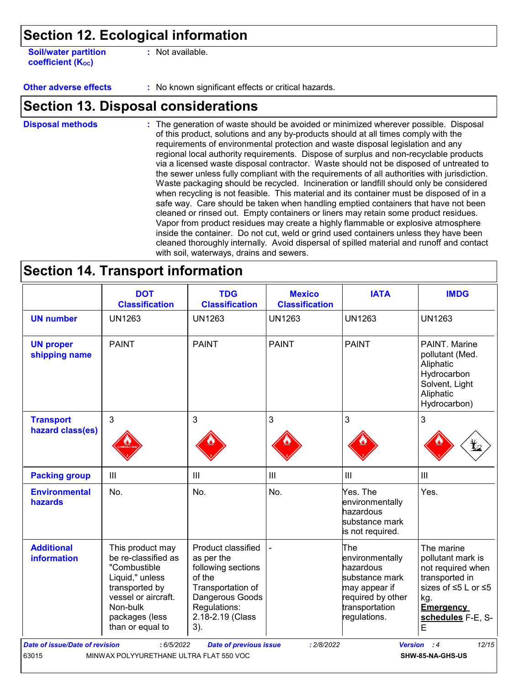### **Section 12. Ecological information**

**Soil/water partition coefficient (KOC)**

**:** Not available.

**Other adverse effects :** No known significant effects or critical hazards.

### **Section 13. Disposal considerations**

The generation of waste should be avoided or minimized wherever possible. Disposal of this product, solutions and any by-products should at all times comply with the requirements of environmental protection and waste disposal legislation and any regional local authority requirements. Dispose of surplus and non-recyclable products via a licensed waste disposal contractor. Waste should not be disposed of untreated to the sewer unless fully compliant with the requirements of all authorities with jurisdiction. Waste packaging should be recycled. Incineration or landfill should only be considered when recycling is not feasible. This material and its container must be disposed of in a safe way. Care should be taken when handling emptied containers that have not been cleaned or rinsed out. Empty containers or liners may retain some product residues. Vapor from product residues may create a highly flammable or explosive atmosphere inside the container. Do not cut, weld or grind used containers unless they have been cleaned thoroughly internally. Avoid dispersal of spilled material and runoff and contact with soil, waterways, drains and sewers. **Disposal methods :**

### **Section 14. Transport information**

| <b>DOT</b><br><b>Classification</b>                                                                                                                                   | <b>TDG</b><br><b>Classification</b>                                                                                                                 | <b>Mexico</b><br><b>Classification</b> | <b>IATA</b>                                                                                                                   | <b>IMDG</b>                                                                                                                                        |
|-----------------------------------------------------------------------------------------------------------------------------------------------------------------------|-----------------------------------------------------------------------------------------------------------------------------------------------------|----------------------------------------|-------------------------------------------------------------------------------------------------------------------------------|----------------------------------------------------------------------------------------------------------------------------------------------------|
| <b>UN1263</b>                                                                                                                                                         | <b>UN1263</b>                                                                                                                                       | <b>UN1263</b>                          | <b>UN1263</b>                                                                                                                 | <b>UN1263</b>                                                                                                                                      |
| <b>PAINT</b>                                                                                                                                                          | <b>PAINT</b>                                                                                                                                        | <b>PAINT</b>                           | <b>PAINT</b>                                                                                                                  | PAINT. Marine<br>pollutant (Med.<br>Aliphatic<br>Hydrocarbon<br>Solvent, Light<br>Aliphatic<br>Hydrocarbon)                                        |
| 3                                                                                                                                                                     | 3                                                                                                                                                   | 3                                      | 3                                                                                                                             | 3                                                                                                                                                  |
|                                                                                                                                                                       |                                                                                                                                                     |                                        |                                                                                                                               |                                                                                                                                                    |
| III                                                                                                                                                                   | III                                                                                                                                                 | $\mathbf{III}$                         | III                                                                                                                           | III                                                                                                                                                |
| No.                                                                                                                                                                   | No.                                                                                                                                                 | No.                                    | Yes. The<br>environmentally<br>hazardous<br>substance mark<br>is not required.                                                | Yes.                                                                                                                                               |
| This product may<br>be re-classified as<br>"Combustible<br>Liquid," unless<br>transported by<br>vessel or aircraft.<br>Non-bulk<br>packages (less<br>than or equal to | Product classified<br>as per the<br>following sections<br>of the<br>Transportation of<br>Dangerous Goods<br>Regulations:<br>2.18-2.19 (Class<br>3). |                                        | The<br>environmentally<br>hazardous<br>substance mark<br>may appear if<br>required by other<br>transportation<br>regulations. | The marine<br>pollutant mark is<br>not required when<br>transported in<br>sizes of ≤5 L or ≤5<br>kg.<br><b>Emergency</b><br>schedules F-E, S-<br>E |
|                                                                                                                                                                       | hazard class(es)                                                                                                                                    |                                        |                                                                                                                               |                                                                                                                                                    |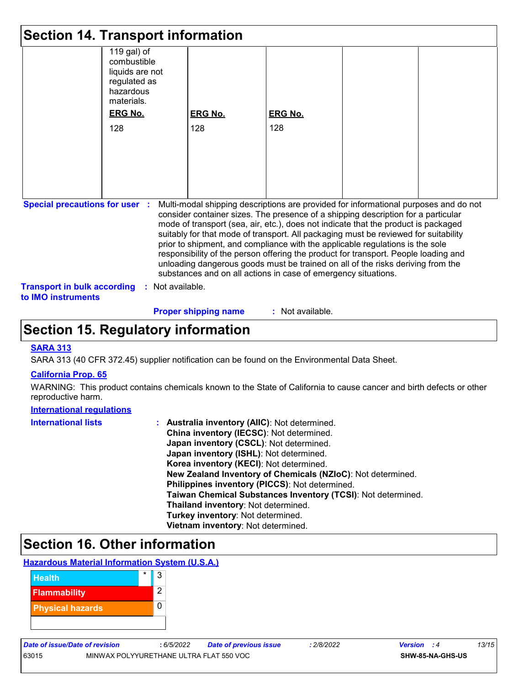|                                                                 | <b>Section 14. Transport information</b>                                                 |                                                                                                                                                                                                                                                                                                                                                                                                                                                                                                                                                                                                                                                                                     |                |  |
|-----------------------------------------------------------------|------------------------------------------------------------------------------------------|-------------------------------------------------------------------------------------------------------------------------------------------------------------------------------------------------------------------------------------------------------------------------------------------------------------------------------------------------------------------------------------------------------------------------------------------------------------------------------------------------------------------------------------------------------------------------------------------------------------------------------------------------------------------------------------|----------------|--|
|                                                                 | 119 gal) of<br>combustible<br>liquids are not<br>regulated as<br>hazardous<br>materials. |                                                                                                                                                                                                                                                                                                                                                                                                                                                                                                                                                                                                                                                                                     |                |  |
|                                                                 | <b>ERG No.</b>                                                                           | <b>ERG No.</b>                                                                                                                                                                                                                                                                                                                                                                                                                                                                                                                                                                                                                                                                      | <b>ERG No.</b> |  |
|                                                                 | 128                                                                                      | 128                                                                                                                                                                                                                                                                                                                                                                                                                                                                                                                                                                                                                                                                                 | 128            |  |
|                                                                 |                                                                                          |                                                                                                                                                                                                                                                                                                                                                                                                                                                                                                                                                                                                                                                                                     |                |  |
|                                                                 |                                                                                          |                                                                                                                                                                                                                                                                                                                                                                                                                                                                                                                                                                                                                                                                                     |                |  |
|                                                                 |                                                                                          |                                                                                                                                                                                                                                                                                                                                                                                                                                                                                                                                                                                                                                                                                     |                |  |
|                                                                 |                                                                                          |                                                                                                                                                                                                                                                                                                                                                                                                                                                                                                                                                                                                                                                                                     |                |  |
|                                                                 |                                                                                          |                                                                                                                                                                                                                                                                                                                                                                                                                                                                                                                                                                                                                                                                                     |                |  |
|                                                                 |                                                                                          |                                                                                                                                                                                                                                                                                                                                                                                                                                                                                                                                                                                                                                                                                     |                |  |
| <b>Special precautions for user :</b>                           |                                                                                          | Multi-modal shipping descriptions are provided for informational purposes and do not<br>consider container sizes. The presence of a shipping description for a particular<br>mode of transport (sea, air, etc.), does not indicate that the product is packaged<br>suitably for that mode of transport. All packaging must be reviewed for suitability<br>prior to shipment, and compliance with the applicable regulations is the sole<br>responsibility of the person offering the product for transport. People loading and<br>unloading dangerous goods must be trained on all of the risks deriving from the<br>substances and on all actions in case of emergency situations. |                |  |
| <b>Transport in bulk according</b><br>to <b>IMO</b> instruments | : Not available.                                                                         |                                                                                                                                                                                                                                                                                                                                                                                                                                                                                                                                                                                                                                                                                     |                |  |

#### **Proper shipping name :**

: Not available.

### **Section 15. Regulatory information**

#### **SARA 313**

SARA 313 (40 CFR 372.45) supplier notification can be found on the Environmental Data Sheet.

#### **California Prop. 65**

WARNING: This product contains chemicals known to the State of California to cause cancer and birth defects or other reproductive harm.

#### **International regulations**

| <b>International lists</b> | : Australia inventory (AIIC): Not determined.                |
|----------------------------|--------------------------------------------------------------|
|                            | China inventory (IECSC): Not determined.                     |
|                            | Japan inventory (CSCL): Not determined.                      |
|                            | Japan inventory (ISHL): Not determined.                      |
|                            | Korea inventory (KECI): Not determined.                      |
|                            | New Zealand Inventory of Chemicals (NZIoC): Not determined.  |
|                            | Philippines inventory (PICCS): Not determined.               |
|                            | Taiwan Chemical Substances Inventory (TCSI): Not determined. |
|                            | Thailand inventory: Not determined.                          |
|                            | Turkey inventory: Not determined.                            |
|                            | Vietnam inventory: Not determined.                           |

### **Section 16. Other information**



| <b>Date of issue/Date of revision</b> |                                         | 6/5/2022 | Date of previous issue | 2/8/2022 | Version          |  | 3/15 |
|---------------------------------------|-----------------------------------------|----------|------------------------|----------|------------------|--|------|
| 63015                                 | MINWAX POLYYURETHANE ULTRA FLAT 550 VOC |          |                        |          | SHW-85-NA-GHS-US |  |      |